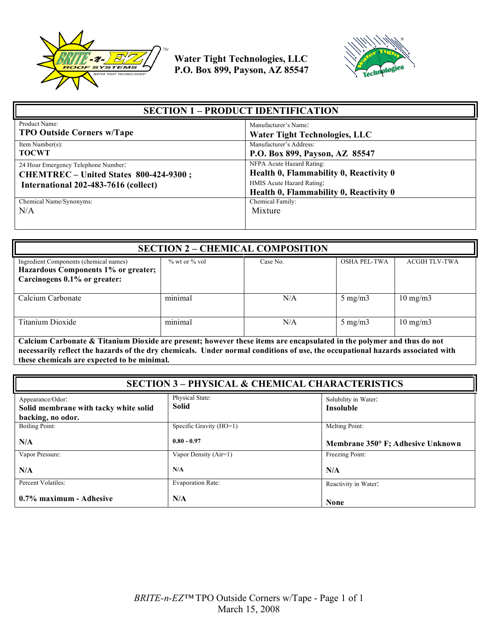



| <b>SECTION 1 – PRODUCT IDENTIFICATION</b> |                                                                     |
|-------------------------------------------|---------------------------------------------------------------------|
| Product Name:                             | Manufacturer's Name:                                                |
| <b>TPO Outside Corners w/Tape</b>         | <b>Water Tight Technologies, LLC</b>                                |
| Item Number(s):                           | Manufacturer's Address:                                             |
| <b>TOCWT</b>                              | P.O. Box 899, Payson, AZ 85547                                      |
| 24 Hour Emergency Telephone Number:       | NFPA Acute Hazard Rating:                                           |
| CHEMTREC - United States 800-424-9300;    | Health 0, Flammability 0, Reactivity 0                              |
| International 202-483-7616 (collect)      | HMIS Acute Hazard Rating:<br>Health 0, Flammability 0, Reactivity 0 |
| Chemical Name/Synonyms:                   | Chemical Family:                                                    |
| N/A                                       | Mixture                                                             |

| <b>SECTION 2 - CHEMICAL COMPOSITION</b>                                                                       |                     |          |                     |                      |
|---------------------------------------------------------------------------------------------------------------|---------------------|----------|---------------------|----------------------|
| Ingredient Components (chemical names)<br>Hazardous Components 1% or greater;<br>Carcinogens 0.1% or greater: | $\%$ wt or $\%$ vol | Case No. | <b>OSHA PEL-TWA</b> | <b>ACGIH TLV-TWA</b> |
| Calcium Carbonate                                                                                             | minimal             | N/A      | $5 \text{ mg/m}$    | $10 \text{ mg/m}$    |
| Titanium Dioxide                                                                                              | minimal             | N/A      | $5 \text{ mg/m}$    | $10 \text{ mg/m}$    |

**Calcium Carbonate & Titanium Dioxide are present; however these items are encapsulated in the polymer and thus do not necessarily reflect the hazards of the dry chemicals. Under normal conditions of use, the occupational hazards associated with these chemicals are expected to be minimal.**

| <b>SECTION 3 - PHYSICAL &amp; CHEMICAL CHARACTERISTICS</b>                     |                                 |                                          |
|--------------------------------------------------------------------------------|---------------------------------|------------------------------------------|
| Appearance/Odor:<br>Solid membrane with tacky white solid<br>backing, no odor. | Physical State:<br><b>Solid</b> | Solubility in Water:<br><b>Insoluble</b> |
| <b>Boiling Point:</b>                                                          | Specific Gravity (HO=1)         | Melting Point:                           |
| N/A                                                                            | $0.80 - 0.97$                   | Membrane 350° F; Adhesive Unknown        |
| Vapor Pressure:                                                                | Vapor Density (Air=1)           | Freezing Point:                          |
| N/A                                                                            | N/A                             | N/A                                      |
| Percent Volatiles:                                                             | <b>Evaporation Rate:</b>        | Reactivity in Water:                     |
| 0.7% maximum - Adhesive                                                        | N/A                             | <b>None</b>                              |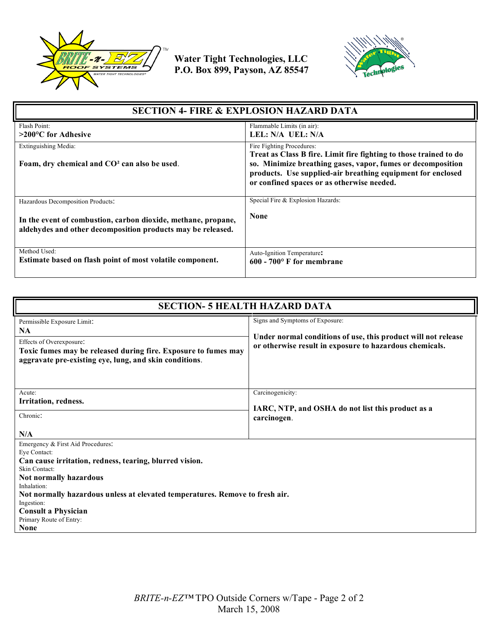



| <b>SECTION 4- FIRE &amp; EXPLOSION HAZARD DATA</b>                                                                           |                                                                                                                                                                          |
|------------------------------------------------------------------------------------------------------------------------------|--------------------------------------------------------------------------------------------------------------------------------------------------------------------------|
| Flash Point:                                                                                                                 | Flammable Limits (in air):<br>LEL: N/A UEL: N/A                                                                                                                          |
| $>200^{\circ}$ C for Adhesive                                                                                                |                                                                                                                                                                          |
| Extinguishing Media:                                                                                                         | Fire Fighting Procedures:<br>Treat as Class B fire. Limit fire fighting to those trained to do                                                                           |
| Foam, dry chemical and CO <sup>2</sup> can also be used.                                                                     | so. Minimize breathing gases, vapor, fumes or decomposition<br>products. Use supplied-air breathing equipment for enclosed<br>or confined spaces or as otherwise needed. |
| Hazardous Decomposition Products:                                                                                            | Special Fire & Explosion Hazards:                                                                                                                                        |
| In the event of combustion, carbon dioxide, methane, propane,<br>aldehydes and other decomposition products may be released. | <b>None</b>                                                                                                                                                              |
| Method Used:<br>Estimate based on flash point of most volatile component.                                                    | Auto-Ignition Temperature:<br>$600 - 700$ F for membrane                                                                                                                 |

| <b>SECTION- 5 HEALTH HAZARD DATA</b>                                                                                                                                                                                                                                                                                                         |                                                                                                                                                             |  |
|----------------------------------------------------------------------------------------------------------------------------------------------------------------------------------------------------------------------------------------------------------------------------------------------------------------------------------------------|-------------------------------------------------------------------------------------------------------------------------------------------------------------|--|
| Permissible Exposure Limit:<br><b>NA</b><br>Effects of Overexposure:<br>Toxic fumes may be released during fire. Exposure to fumes may<br>aggravate pre-existing eye, lung, and skin conditions.                                                                                                                                             | Signs and Symptoms of Exposure:<br>Under normal conditions of use, this product will not release<br>or otherwise result in exposure to hazardous chemicals. |  |
| Acute:<br>Irritation, redness.<br>Chronic:<br>N/A                                                                                                                                                                                                                                                                                            | Carcinogenicity:<br>IARC, NTP, and OSHA do not list this product as a<br>carcinogen.                                                                        |  |
| Emergency & First Aid Procedures:<br>Eye Contact:<br>Can cause irritation, redness, tearing, blurred vision.<br>Skin Contact:<br>Not normally hazardous<br>Inhalation:<br>Not normally hazardous unless at elevated temperatures. Remove to fresh air.<br>Ingestion:<br><b>Consult a Physician</b><br>Primary Route of Entry:<br><b>None</b> |                                                                                                                                                             |  |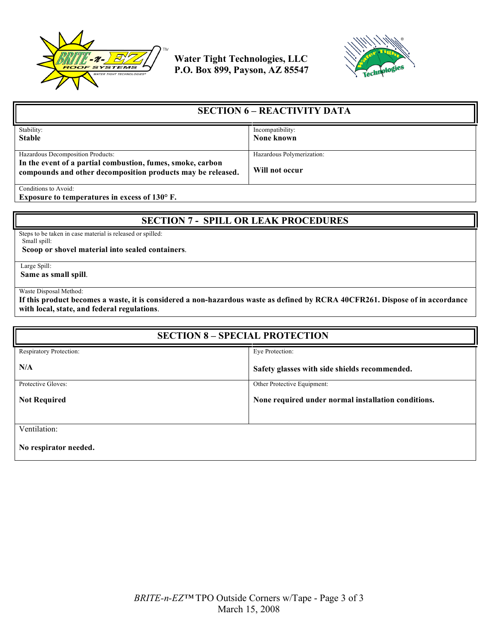



| <b>SECTION 6 – REACTIVITY DATA</b>                                                                                        |                           |
|---------------------------------------------------------------------------------------------------------------------------|---------------------------|
| Stability:                                                                                                                | Incompatibility:          |
| <b>Stable</b>                                                                                                             | None known                |
|                                                                                                                           |                           |
| Hazardous Decomposition Products:                                                                                         | Hazardous Polymerization: |
| In the event of a partial combustion, fumes, smoke, carbon<br>compounds and other decomposition products may be released. | Will not occur            |
| Conditions to Avoid:                                                                                                      |                           |

**Exposure to temperatures in excess of 130° F.**

## **SECTION 7 - SPILL OR LEAK PROCEDURES**

Steps to be taken in case material is released or spilled: Small spill:

 **Scoop or shovel material into sealed containers**.

Large Spill:

**Same as small spill**.

Waste Disposal Method:

**If this product becomes a waste, it is considered a non-hazardous waste as defined by RCRA 40CFR261. Dispose of in accordance with local, state, and federal regulations**.

| <b>SECTION 8 - SPECIAL PROTECTION</b> |                                                     |  |
|---------------------------------------|-----------------------------------------------------|--|
| Respiratory Protection:               | Eye Protection:                                     |  |
| N/A                                   | Safety glasses with side shields recommended.       |  |
| Protective Gloves:                    | Other Protective Equipment:                         |  |
| <b>Not Required</b>                   | None required under normal installation conditions. |  |
| Ventilation:                          |                                                     |  |
| No respirator needed.                 |                                                     |  |